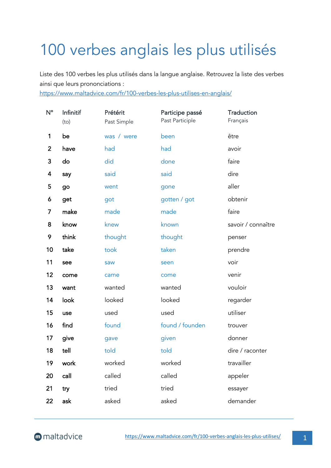## 100 verbes anglais les plus utilisés

Liste des 100 verbes les plus utilisés dans la langue anglaise. Retrouvez la liste des verbes ainsi que leurs prononciations :

https://www.maltadvice.com/fr/100-verbes-les-plus-utilises-en-anglais/

| $N^{\circ}$    | Infinitif<br>(to) | Prétérit<br>Past Simple | Participe passé<br>Past Participle | <b>Traduction</b><br>Français |
|----------------|-------------------|-------------------------|------------------------------------|-------------------------------|
| 1              | be                | was / were              | been                               | être                          |
| $\overline{2}$ | have              | had                     | had                                | avoir                         |
| 3              | do                | did                     | done                               | faire                         |
| 4              | say               | said                    | said                               | dire                          |
| 5              | go                | went                    | gone                               | aller                         |
| 6              | get               | got                     | gotten / got                       | obtenir                       |
| 7              | make              | made                    | made                               | faire                         |
| 8              | know              | knew                    | known                              | savoir / connaître            |
| 9              | think             | thought                 | thought                            | penser                        |
| 10             | take              | took                    | taken                              | prendre                       |
| 11             | see               | saw                     | seen                               | voir                          |
| 12             | come              | came                    | come                               | venir                         |
| 13             | want              | wanted                  | wanted                             | vouloir                       |
| 14             | look              | looked                  | looked                             | regarder                      |
| 15             | use               | used                    | used                               | utiliser                      |
| 16             | find              | found                   | found / founden                    | trouver                       |
| 17             | give              | gave                    | given                              | donner                        |
| 18             | tell              | told                    | told                               | dire / raconter               |
| 19             | work              | worked                  | worked                             | travailler                    |
| 20             | call              | called                  | called                             | appeler                       |
| 21             | try               | tried                   | tried                              | essayer                       |
| 22             | ask               | asked                   | asked                              | demander                      |

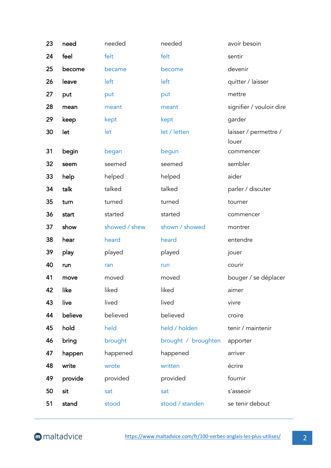| 23 | need    | needed        | needed              | avoir besoin                   |
|----|---------|---------------|---------------------|--------------------------------|
| 24 | feel    | felt          | felt                | sentir                         |
| 25 | become  | became        | become              | devenir                        |
| 26 | leave   | left          | left                | quitter / laisser              |
| 27 | put     | put           | put                 | mettre                         |
| 28 | mean    | meant         | meant               | signifier / vouloir dire       |
| 29 | keep    | kept          | kept                | garder                         |
| 30 | let     | let           | let / letten        | laisser / permettre /<br>louer |
| 31 | begin   | began         | begun               | commencer                      |
| 32 | seem    | seemed        | seemed              | sembler                        |
| 33 | help    | helped        | helped              | aider                          |
| 34 | talk    | talked        | talked              | parler / discuter              |
| 35 | turn    | turned        | turned              | tourner                        |
| 36 | start   | started       | started             | commencer                      |
| 37 | show    | showed / shew | shown / showed      | montrer                        |
| 38 | hear    | heard         | heard               | entendre                       |
| 39 | play    | played        | played              | jouer                          |
| 40 | run     | ran           | run                 | courir                         |
| 41 | move    | moved         | moved               | bouger / se déplacer           |
| 42 | like    | liked         | liked               | aimer                          |
| 43 | live    | lived         | lived               | vivre                          |
| 44 | believe | believed      | believed            | croire                         |
| 45 | hold    | held          | held / holden       | tenir / maintenir              |
| 46 | bring   | brought       | brought / broughten | apporter                       |
| 47 | happen  | happened      | happened            | arriver                        |
| 48 | write   | wrote         | written             | écrire                         |
| 49 | provide | provided      | provided            | fournir                        |
| 50 | sit     | sat           | sat                 | s'asseoir                      |
| 51 | stand   | stood         | stood / standen     | se tenir debout                |

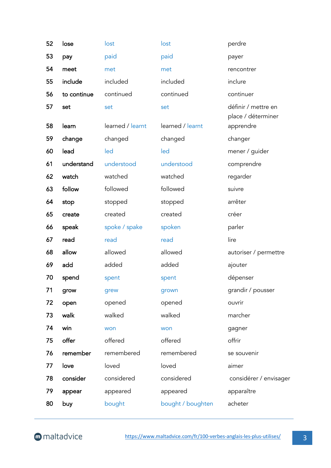| 52 | lose        | lost             | lost              | perdre                                    |
|----|-------------|------------------|-------------------|-------------------------------------------|
| 53 | pay         | paid             | paid              | payer                                     |
| 54 | meet        | met              | met               | rencontrer                                |
| 55 | include     | included         | included          | inclure                                   |
| 56 | to continue | continued        | continued         | continuer                                 |
| 57 | set         | set              | set               | définir / mettre en<br>place / déterminer |
| 58 | learn       | learned / learnt | learned / learnt  | apprendre                                 |
| 59 | change      | changed          | changed           | changer                                   |
| 60 | lead        | led              | led               | mener / guider                            |
| 61 | understand  | understood       | understood        | comprendre                                |
| 62 | watch       | watched          | watched           | regarder                                  |
| 63 | follow      | followed         | followed          | suivre                                    |
| 64 | stop        | stopped          | stopped           | arrêter                                   |
| 65 | create      | created          | created           | créer                                     |
| 66 | speak       | spoke / spake    | spoken            | parler                                    |
| 67 | read        | read             | read              | lire                                      |
| 68 | allow       | allowed          | allowed           | autoriser / permettre                     |
| 69 | add         | added            | added             | ajouter                                   |
| 70 | spend       | spent            | spent             | dépenser                                  |
| 71 | grow        | grew             | grown             | grandir / pousser                         |
| 72 | open        | opened           | opened            | ouvrir                                    |
| 73 | walk        | walked           | walked            | marcher                                   |
| 74 | win         | won              | won               | gagner                                    |
| 75 | offer       | offered          | offered           | offrir                                    |
| 76 | remember    | remembered       | remembered        | se souvenir                               |
| 77 | love        | loved            | loved             | aimer                                     |
| 78 | consider    | considered       | considered        | considérer / envisager                    |
| 79 | appear      | appeared         | appeared          | apparaître                                |
| 80 | buy         | bought           | bought / boughten | acheter                                   |
|    |             |                  |                   |                                           |